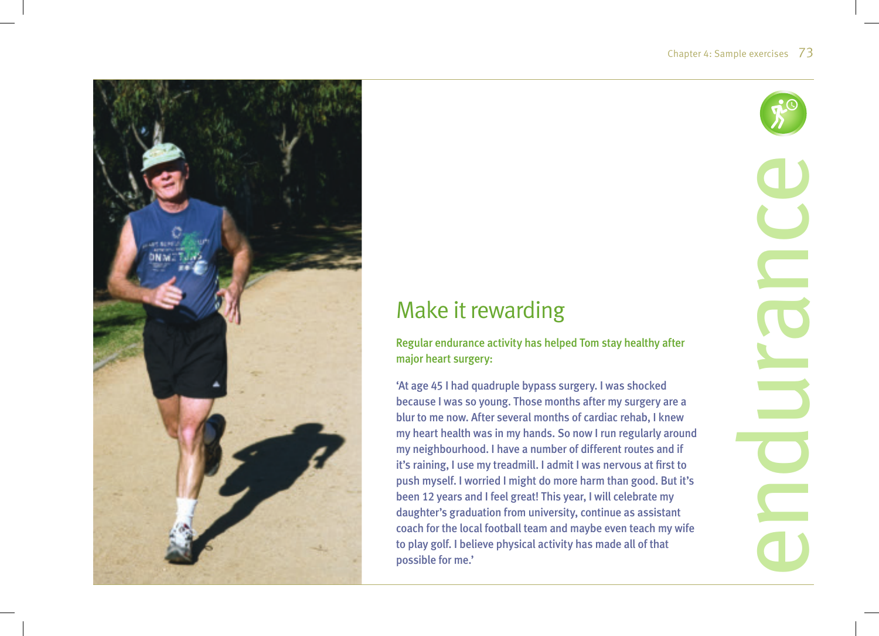

# Make it rewarding

Regular endurance activity has helped Tom stay healthy after major heart surgery:

'At age 45 I had quadruple bypass surgery. I was shocked because I was so young. Those months after my surgery are a blur to me now. After several months of cardiac rehab, I knew my heart health was in my hands. So now I run regularly around my neighbourhood. I have a number of different routes and if it's raining, I use my treadmill. I admit I was nervous at first to push myself. I worried I might do more harm than good. But it's been 12 years and I feel great! This year, I will celebrate my daughter's graduation from university, continue as assistant coach for the local football team and maybe even teach my wife to play golf. I believe physical activity has made all of that possible for me.'

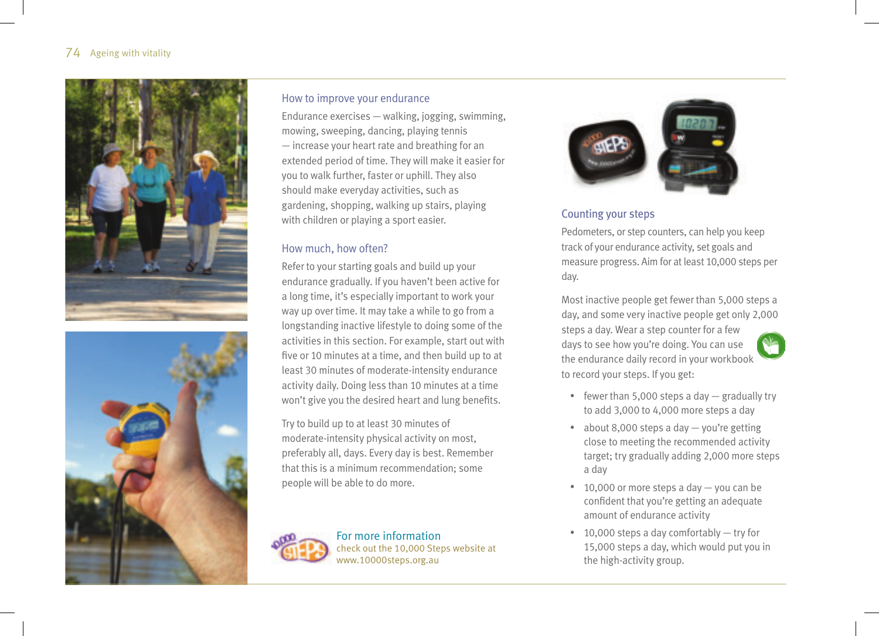



#### How to improve your endurance

Endurance exercises — walking, jogging, swimming, mowing, sweeping, dancing, playing tennis — increase your heart rate and breathing for an extended period of time. They will make it easier for you to walk further, faster or uphill. They also should make everyday activities, such as gardening, shopping, walking up stairs, playing with children or playing a sport easier.

#### How much, how often?

Refer to your starting goals and build up your endurance gradually. If you haven't been active for a long time, it's especially important to work your way up over time. It may take a while to go from a longstanding inactive lifestyle to doing some of the activities in this section. For example, start out with five or 10 minutes at a time, and then build up to at least 30 minutes of moderate-intensity endurance activity daily. Doing less than 10 minutes at a time won't give you the desired heart and lung benefits.

Try to build up to at least 30 minutes of moderate-intensity physical activity on most, preferably all, days. Every day is best. Remember that this is a minimum recommendation; some people will be able to do more.



For more information check out the 10,000 Steps website at www.10000steps.org.au



#### Counting your steps

Pedometers, or step counters, can help you keep track of your endurance activity, set goals and measure progress. Aim for at least 10,000 steps per day.

Most inactive people get fewer than 5,000 steps a day, and some very inactive people get only 2,000 steps a day. Wear a step counter for a few days to see how you're doing. You can use the endurance daily record in your workbook to record your steps. If you get:



- fewer than 5,000 steps a day  $-$  gradually try to add 3,000 to 4,000 more steps a day
- about 8,000 steps a day you're getting close to meeting the recommended activity target; try gradually adding 2,000 more steps a day
- 10,000 or more steps a day you can be confident that you're getting an adequate amount of endurance activity
- $\cdot$  10,000 steps a day comfortably  $-$  try for 15,000 steps a day, which would put you in the high-activity group.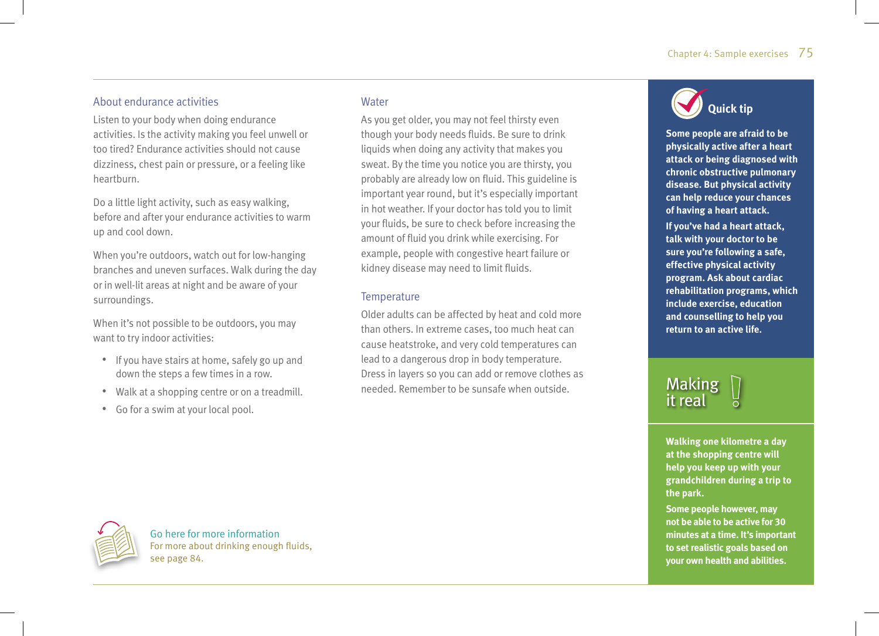### About endurance activities

Listen to your body when doing endurance activities. Is the activity making you feel unwell or too tired? Endurance activities should not cause dizziness, chest pain or pressure, or a feeling like heartburn.

Do a little light activity, such as easy walking, before and after your endurance activities to warm up and cool down.

When you're outdoors, watch out for low-hanging branches and uneven surfaces. Walk during the day or in well-lit areas at night and be aware of your surroundings.

When it's not possible to be outdoors, you may want to try indoor activities:

- If you have stairs at home, safely go up and down the steps a few times in a row.
- Walk at a shopping centre or on a treadmill.
- Go for a swim at your local pool.

#### **Water**

As you get older, you may not feel thirsty even though your body needs fluids. Be sure to drink liquids when doing any activity that makes you sweat. By the time you notice you are thirsty, you probably are already low on fluid. This guideline is important year round, but it's especially important in hot weather. If your doctor has told you to limit your fluids, be sure to check before increasing the amount of fluid you drink while exercising. For example, people with congestive heart failure or kidney disease may need to limit fluids.

#### **Temperature**

Older adults can be affected by heat and cold more than others. In extreme cases, too much heat can cause heatstroke, and very cold temperatures can lead to a dangerous drop in body temperature. Dress in layers so you can add or remove clothes as needed. Remember to be sunsafe when outside.



**Some people are afraid to be physically active after a heart attack or being diagnosed with chronic obstructive pulmonary disease. But physical activity can help reduce your chances of having a heart attack. If you've had a heart attack, talk with your doctor to be sure you're following a safe, effective physical activity program. Ask about cardiac rehabilitation programs, which include exercise, education and counselling to help you return to an active life.** 

## **Making** it real

**Walking one kilometre a day at the shopping centre will help you keep up with your grandchildren during a trip to the park.** 

**Some people however, may not be able to be active for 30 minutes at a time. It's important to set realistic goals based on your own health and abilities.** 



Go here for more information For more about drinking enough fluids. see page 84.